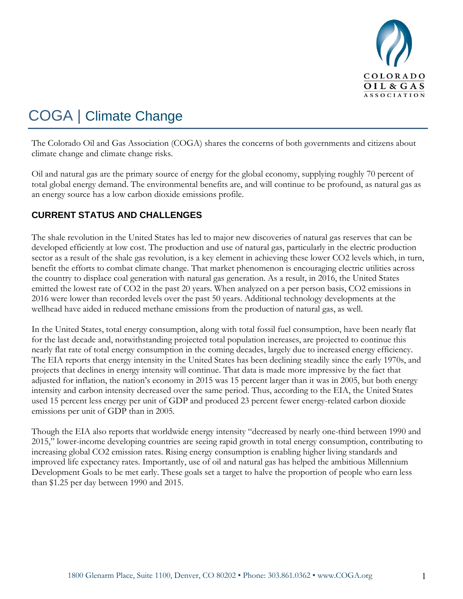

## COGA | Climate Change

The Colorado Oil and Gas Association (COGA) shares the concerns of both governments and citizens about climate change and climate change risks.

Oil and natural gas are the primary source of energy for the global economy, supplying roughly 70 percent of total global energy demand. The environmental benefits are, and will continue to be profound, as natural gas as an energy source has a low carbon dioxide emissions profile.

## **CURRENT STATUS AND CHALLENGES**

The shale revolution in the United States has led to major new discoveries of natural gas reserves that can be developed efficiently at low cost. The production and use of natural gas, particularly in the electric production sector as a result of the shale gas revolution, is a key element in achieving these lower CO2 levels which, in turn, benefit the efforts to combat climate change. That market phenomenon is encouraging electric utilities across the country to displace coal generation with natural gas generation. As a result, in 2016, the United States emitted the lowest rate of CO2 in the past 20 years. When analyzed on a per person basis, CO2 emissions in 2016 were lower than recorded levels over the past 50 years. Additional technology developments at the wellhead have aided in reduced methane emissions from the production of natural gas, as well.

In the United States, total energy consumption, along with total fossil fuel consumption, have been nearly flat for the last decade and, notwithstanding projected total population increases, are projected to continue this nearly flat rate of total energy consumption in the coming decades, largely due to increased energy efficiency. The EIA reports that energy intensity in the United States has been declining steadily since the early 1970s, and projects that declines in energy intensity will continue. That data is made more impressive by the fact that adjusted for inflation, the nation's economy in 2015 was 15 percent larger than it was in 2005, but both energy intensity and carbon intensity decreased over the same period. Thus, according to the EIA, the United States used 15 percent less energy per unit of GDP and produced 23 percent fewer energy-related carbon dioxide emissions per unit of GDP than in 2005.

Though the EIA also reports that worldwide energy intensity "decreased by nearly one-third between 1990 and 2015," lower-income developing countries are seeing rapid growth in total energy consumption, contributing to increasing global CO2 emission rates. Rising energy consumption is enabling higher living standards and improved life expectancy rates. Importantly, use of oil and natural gas has helped the ambitious Millennium Development Goals to be met early. These goals set a target to halve the proportion of people who earn less than \$1.25 per day between 1990 and 2015.